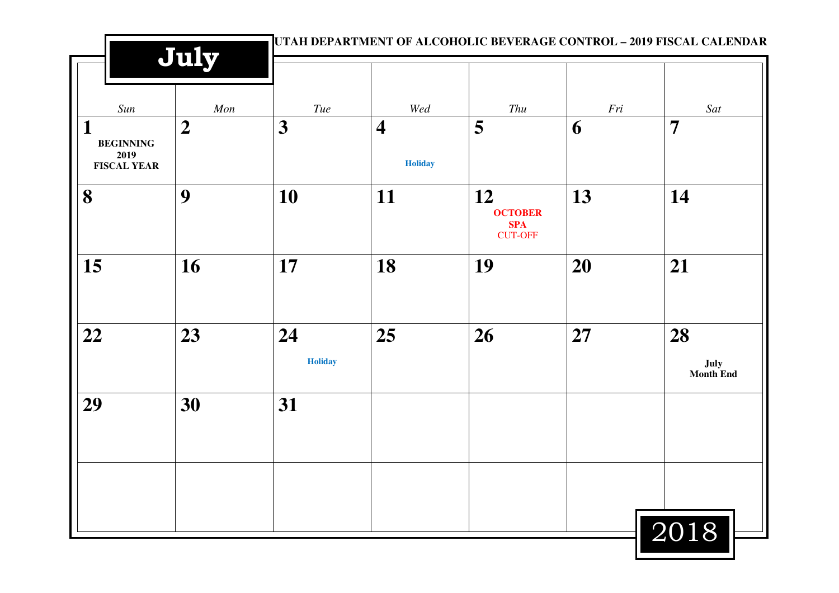|                                                     | July           |                         |                                           |                                                      |     | UTAH DEPARTMENT OF ALCOHOLIC BEVERAGE CONTROL - 2019 FISCAL CALENDAR |
|-----------------------------------------------------|----------------|-------------------------|-------------------------------------------|------------------------------------------------------|-----|----------------------------------------------------------------------|
| Sun                                                 | $\mathit{Mon}$ | Tue                     | Wed                                       | Thu                                                  | Fri | Sat                                                                  |
| 1<br><b>BEGINNING</b><br>2019<br><b>FISCAL YEAR</b> | $\overline{2}$ | $\overline{\mathbf{3}}$ | $\overline{\mathbf{4}}$<br><b>Holiday</b> | 5                                                    | 6   | $\overline{7}$                                                       |
| 8                                                   | 9              | 10                      | 11                                        | 12<br><b>OCTOBER</b><br><b>SPA</b><br><b>CUT-OFF</b> | 13  | 14                                                                   |
| 15                                                  | 16             | 17                      | 18                                        | 19                                                   | 20  | 21                                                                   |
| 22                                                  | 23             | 24<br><b>Holiday</b>    | 25                                        | 26                                                   | 27  | 28<br>July<br>Month End                                              |
| 29                                                  | 30             | 31                      |                                           |                                                      |     |                                                                      |
|                                                     |                |                         |                                           |                                                      |     | 2018                                                                 |

■ |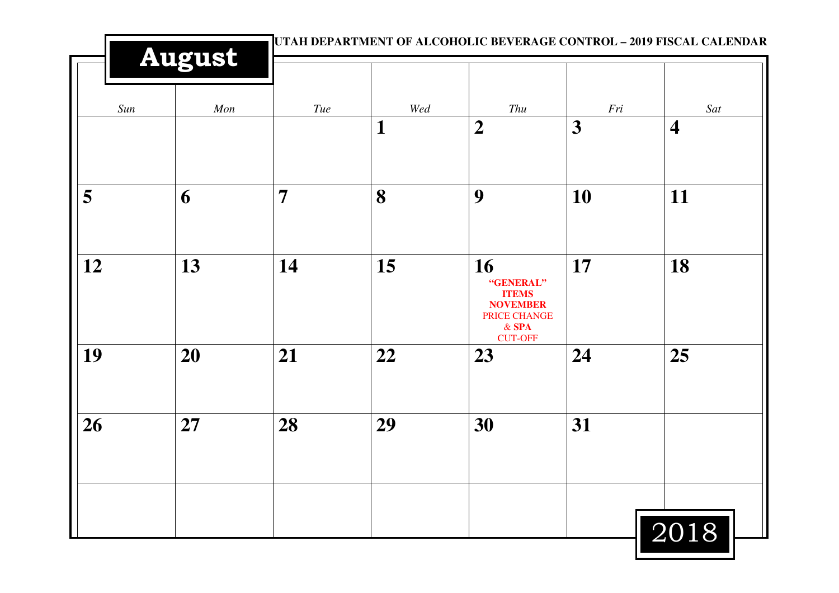|     | <b>August</b> |                |              |                                                                               | UTAH DEPARTMENT OF ALCOHOLIC BEVERAGE CONTROL - 2019 FISCAL CALENDAR |                         |  |
|-----|---------------|----------------|--------------|-------------------------------------------------------------------------------|----------------------------------------------------------------------|-------------------------|--|
| Sun | Mon           | Tue            | Wed          | Thu                                                                           | Fri                                                                  | Sat                     |  |
|     |               |                | $\mathbf{1}$ | $\boldsymbol{2}$                                                              | 3                                                                    | $\overline{\mathbf{4}}$ |  |
| 5   | 6             | $\overline{7}$ | 8            | 9                                                                             | 10                                                                   | 11                      |  |
| 12  | 13            | 14             | 15           | 16<br>"GENERAL"<br><b>ITEMS</b><br><b>NOVEMBER</b><br>PRICE CHANGE<br>$&$ SPA | 17                                                                   | 18                      |  |
| 19  | 20            | 21             | 22           | <b>CUT-OFF</b><br>23                                                          | 24                                                                   | 25                      |  |
| 26  | 27            | 28             | 29           | 30                                                                            | 31                                                                   |                         |  |
|     |               |                |              |                                                                               |                                                                      | 2018                    |  |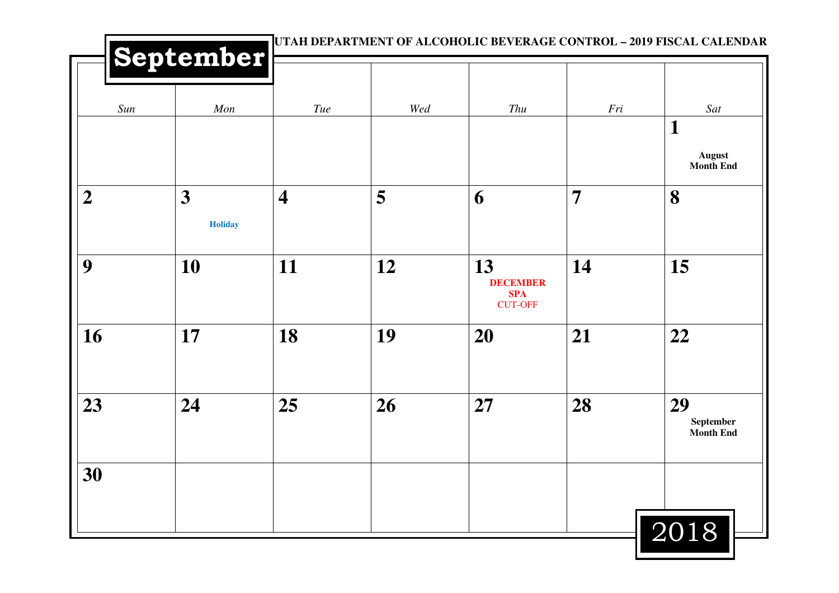|                  | September           |                         |     | UTAH DEPARTMENT OF ALCOHOLIC BEVERAGE CONTROL - 2019 FISCAL CALENDAR |                |                                     |
|------------------|---------------------|-------------------------|-----|----------------------------------------------------------------------|----------------|-------------------------------------|
| Sun              | Mon                 | Tue                     | Wed | Thu                                                                  | Fri            | Sat<br>$\mathbf{1}$                 |
|                  |                     |                         |     |                                                                      |                | <b>August</b><br><b>Month End</b>   |
| $\boldsymbol{2}$ | 3<br><b>Holiday</b> | $\overline{\mathbf{4}}$ | 5   | 6                                                                    | $\overline{7}$ | 8                                   |
| 9                | 10                  | 11                      | 12  | 13<br><b>DECEMBER</b><br><b>SPA</b><br><b>CUT-OFF</b>                | 14             | 15                                  |
| 16               | 17                  | 18                      | 19  | <b>20</b>                                                            | 21             | 22                                  |
| 23               | 24                  | 25                      | 26  | 27                                                                   | 28             | 29<br>September<br><b>Month End</b> |
| 30               |                     |                         |     |                                                                      |                |                                     |
|                  |                     |                         |     |                                                                      |                | 2018                                |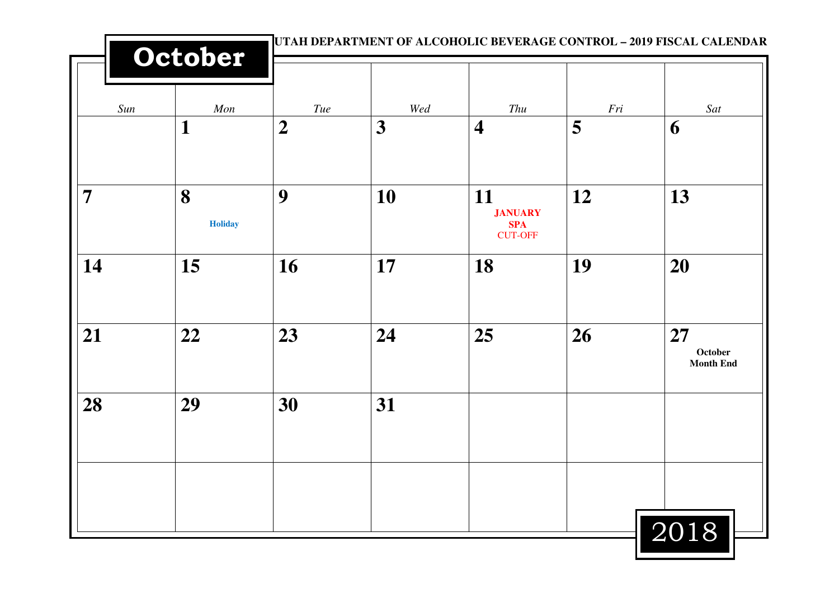|                | October             | UTAH DEPARTMENT OF ALCOHOLIC BEVERAGE CONTROL - 2019 FISCAL CALENDAR |     |                                                      |     |                                   |
|----------------|---------------------|----------------------------------------------------------------------|-----|------------------------------------------------------|-----|-----------------------------------|
| Sun            | Mon                 | $\mathit{True}$                                                      | Wed | Thu                                                  | Fri | Sat                               |
|                | $\mathbf{1}$        | $\boldsymbol{2}$                                                     | 3   | $\overline{\mathbf{4}}$                              | 5   | 6                                 |
| $\overline{7}$ | 8<br><b>Holiday</b> | 9                                                                    | 10  | 11<br><b>JANUARY</b><br><b>SPA</b><br><b>CUT-OFF</b> | 12  | 13                                |
| 14             | 15                  | 16                                                                   | 17  | 18                                                   | 19  | 20                                |
| 21             | 22                  | 23                                                                   | 24  | 25                                                   | 26  | 27<br>October<br><b>Month End</b> |
| 28             | 29                  | 30                                                                   | 31  |                                                      |     |                                   |
|                |                     |                                                                      |     |                                                      |     |                                   |
|                |                     |                                                                      |     |                                                      |     | 2018                              |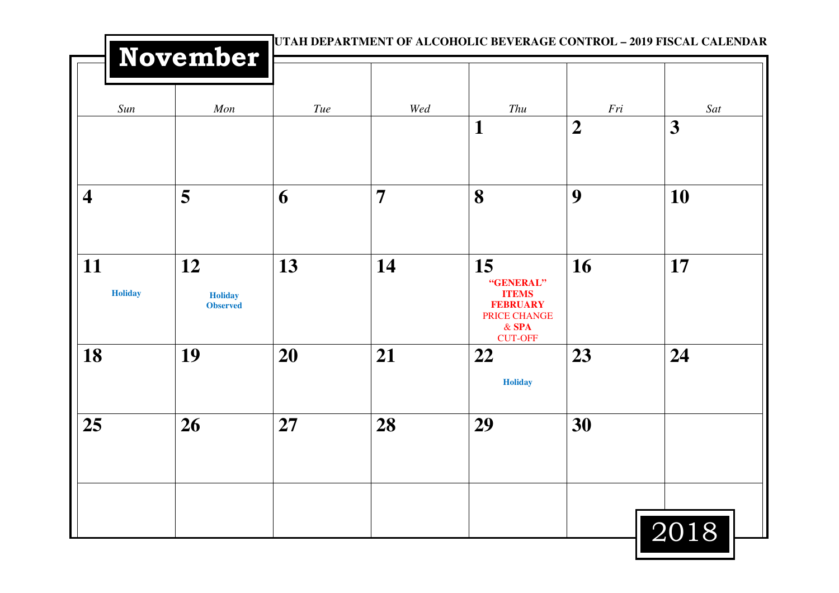|                         | <b>November</b>                         |     |                |                                                                             | UTAH DEPARTMENT OF ALCOHOLIC BEVERAGE CONTROL - 2019 FISCAL CALENDAR |          |  |
|-------------------------|-----------------------------------------|-----|----------------|-----------------------------------------------------------------------------|----------------------------------------------------------------------|----------|--|
| Sun                     | Mon                                     | Tue | Wed            | Thu<br>$\mathbf 1$                                                          | Fri<br>$\overline{2}$                                                | Sat<br>3 |  |
| $\overline{\mathbf{4}}$ | 5                                       | 6   | $\overline{7}$ | 8                                                                           | 9                                                                    | 10       |  |
| 11<br><b>Holiday</b>    | 12<br><b>Holiday</b><br><b>Observed</b> | 13  | 14             | 15<br>"GENERAL"<br><b>ITEMS</b><br><b>FEBRUARY</b><br>PRICE CHANGE<br>& SPA | 16                                                                   | 17       |  |
| 18                      | 19                                      | 20  | 21             | <b>CUT-OFF</b><br>22<br><b>Holiday</b>                                      | 23                                                                   | 24       |  |
| 25                      | 26                                      | 27  | 28             | 29                                                                          | 30                                                                   |          |  |
|                         |                                         |     |                |                                                                             |                                                                      | 2018     |  |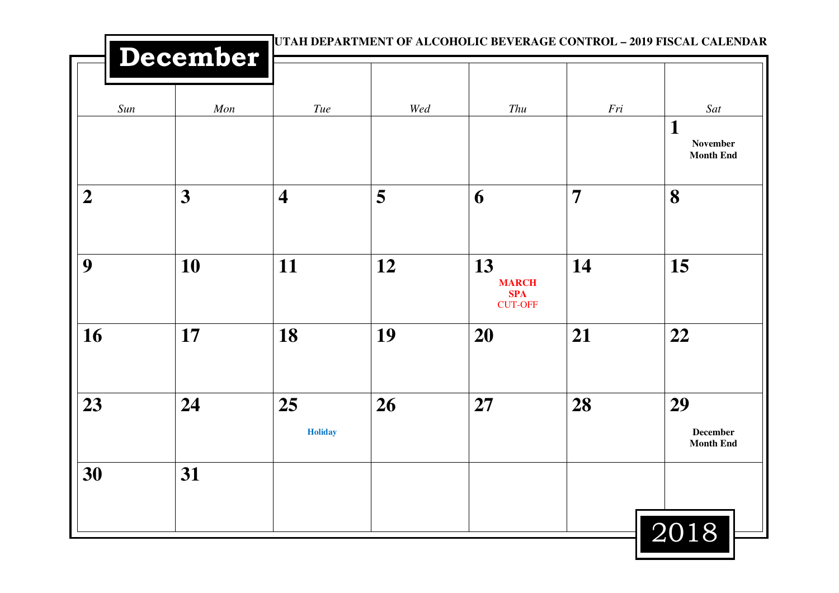| December       |                  |                         | UTAH DEPARTMENT OF ALCOHOLIC BEVERAGE CONTROL - 2019 FISCAL CALENDAR |                                                    |                |                                                    |
|----------------|------------------|-------------------------|----------------------------------------------------------------------|----------------------------------------------------|----------------|----------------------------------------------------|
| Sun            | Mon              | Tue                     | Wed                                                                  | Thu                                                | Fri            | Sat<br>$\mathbf 1$<br>November<br><b>Month End</b> |
| $\overline{2}$ | $\boldsymbol{3}$ | $\overline{\mathbf{4}}$ | 5                                                                    | 6                                                  | $\overline{7}$ | 8                                                  |
| 9              | 10               | 11                      | 12                                                                   | 13<br><b>MARCH</b><br><b>SPA</b><br><b>CUT-OFF</b> | 14             | 15                                                 |
| 16             | 17               | 18                      | 19                                                                   | <b>20</b>                                          | 21             | 22                                                 |
| 23             | 24               | 25<br><b>Holiday</b>    | 26                                                                   | 27                                                 | 28             | 29<br><b>December</b><br><b>Month End</b>          |
| 30             | 31               |                         |                                                                      |                                                    |                |                                                    |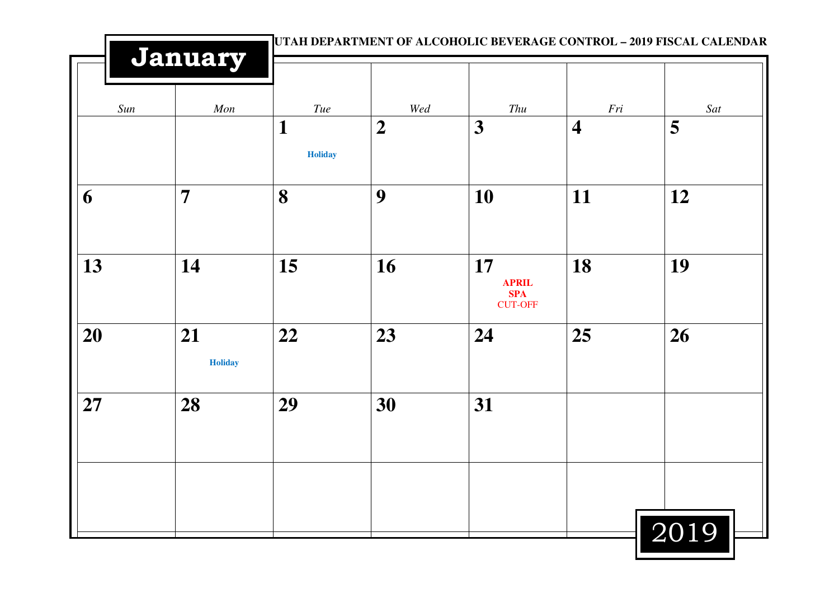|     | January              |                     |                  |                                                    |                         | UTAH DEPARTMENT OF ALCOHOLIC BEVERAGE CONTROL - 2019 FISCAL CALENDAR |  |
|-----|----------------------|---------------------|------------------|----------------------------------------------------|-------------------------|----------------------------------------------------------------------|--|
| Sun | Mon                  | Tue                 | $W\!ed$          | Thu                                                | Fri                     | Sat                                                                  |  |
|     |                      | 1<br><b>Holiday</b> | $\boldsymbol{2}$ | 3                                                  | $\overline{\mathbf{4}}$ | 5                                                                    |  |
| 6   | $\overline{7}$       | 8                   | 9                | 10                                                 | 11                      | 12                                                                   |  |
| 13  | 14                   | 15                  | 16               | 17<br><b>APRIL</b><br><b>SPA</b><br><b>CUT-OFF</b> | 18                      | 19                                                                   |  |
| 20  | 21<br><b>Holiday</b> | 22                  | 23               | 24                                                 | 25                      | 26                                                                   |  |
| 27  | 28                   | 29                  | 30               | 31                                                 |                         |                                                                      |  |
|     |                      |                     |                  |                                                    |                         |                                                                      |  |
|     |                      |                     |                  |                                                    |                         | 2019                                                                 |  |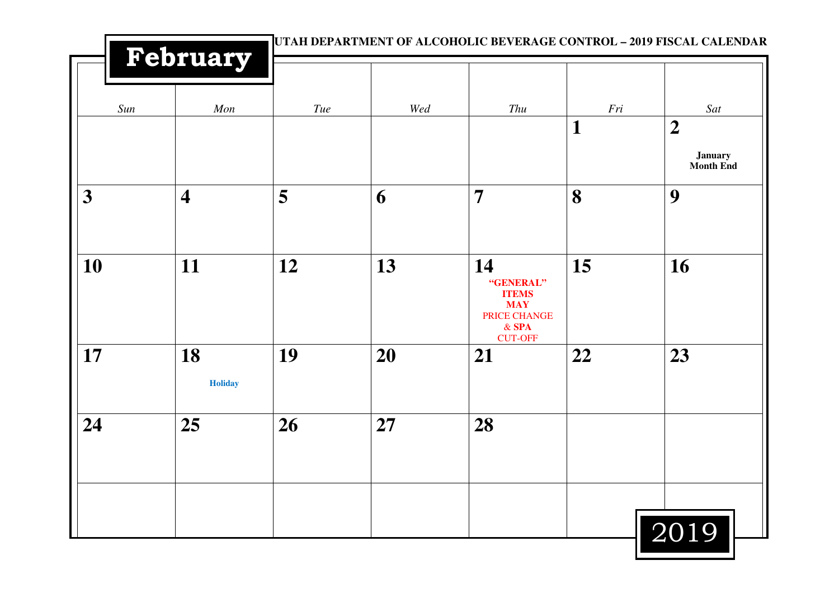|     | <b>February</b>         |     | UTAH DEPARTMENT OF ALCOHOLIC BEVERAGE CONTROL - 2019 FISCAL CALENDAR |                                                                          |                     |                                  |  |  |
|-----|-------------------------|-----|----------------------------------------------------------------------|--------------------------------------------------------------------------|---------------------|----------------------------------|--|--|
| Sun | Mon                     | Tue | Wed                                                                  | Thu                                                                      | Fri<br>$\mathbf{1}$ | Sat<br>$\overline{2}$            |  |  |
| 3   | $\overline{\mathbf{4}}$ | 5   | 6                                                                    | $\overline{7}$                                                           | 8                   | <b>January</b><br>Month End<br>9 |  |  |
| 10  | 11                      | 12  | 13                                                                   | 14<br>"GENERAL"<br><b>ITEMS</b><br><b>MAY</b><br>PRICE CHANGE<br>$&$ SPA | 15                  | 16                               |  |  |
| 17  | 18<br><b>Holiday</b>    | 19  | 20                                                                   | <b>CUT-OFF</b><br>21                                                     | 22                  | 23                               |  |  |
| 24  | 25                      | 26  | 27                                                                   | 28                                                                       |                     |                                  |  |  |
|     |                         |     |                                                                      |                                                                          |                     | 2019                             |  |  |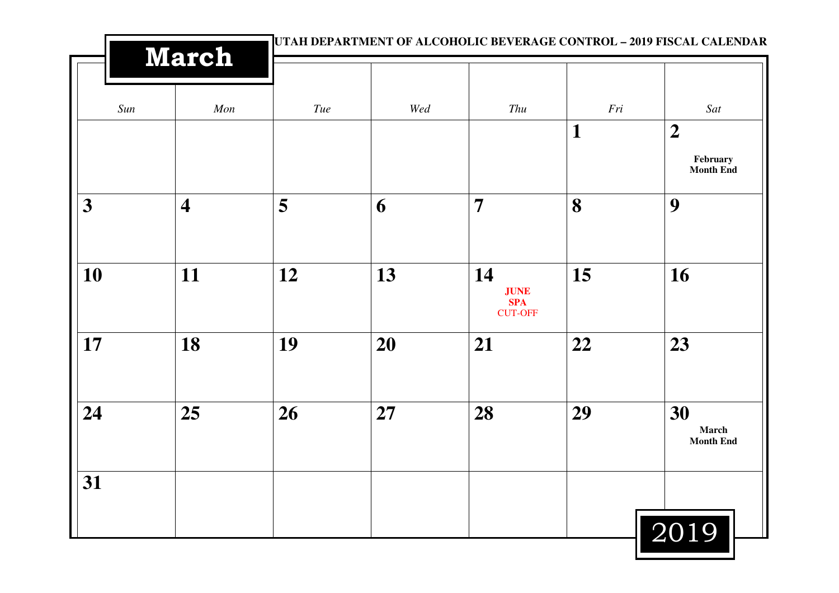| <b>March</b>            |                         |                 |     |                                                   |                | UTAH DEPARTMENT OF ALCOHOLIC BEVERAGE CONTROL - 2019 FISCAL CALENDAR |  |
|-------------------------|-------------------------|-----------------|-----|---------------------------------------------------|----------------|----------------------------------------------------------------------|--|
| Sun                     | Mon                     | $\mathit{True}$ | Wed | Thu                                               | $\mathit{Fri}$ | Sat                                                                  |  |
|                         |                         |                 |     |                                                   | 1              | $\boldsymbol{2}$<br>February<br><b>Month End</b>                     |  |
| $\overline{\mathbf{3}}$ | $\overline{\mathbf{4}}$ | 5               | 6   | $\overline{7}$                                    | 8              | 9                                                                    |  |
| 10                      | 11                      | 12              | 13  | 14<br><b>JUNE</b><br><b>SPA</b><br><b>CUT-OFF</b> | 15             | 16                                                                   |  |
| 17                      | 18                      | 19              | 20  | 21                                                | 22             | 23                                                                   |  |
| 24                      | 25                      | 26              | 27  | 28                                                | 29             | 30<br>March<br><b>Month End</b>                                      |  |
| 31                      |                         |                 |     |                                                   |                | 2019                                                                 |  |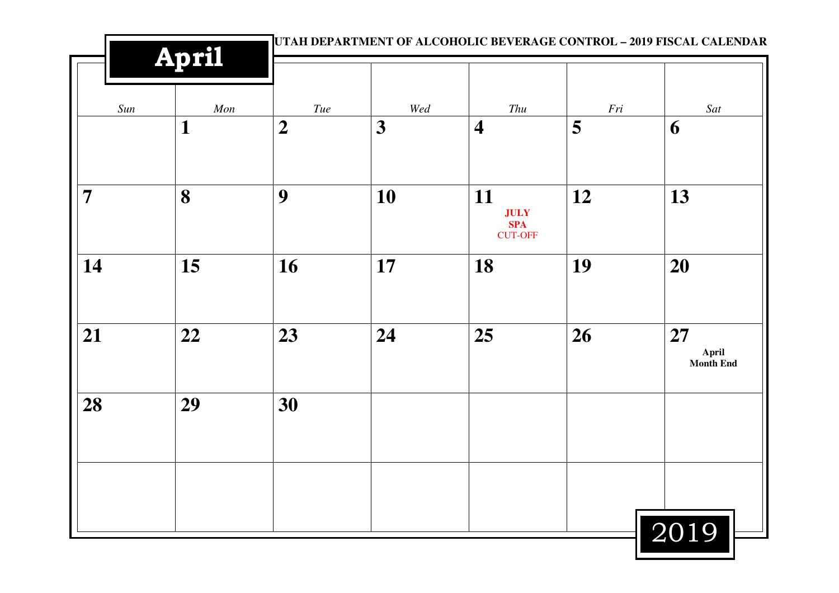|                | <b>April</b> |                  | UTAH DEPARTMENT OF ALCOHOLIC BEVERAGE CONTROL - 2019 FISCAL CALENDAR |                                                   |     |                          |  |
|----------------|--------------|------------------|----------------------------------------------------------------------|---------------------------------------------------|-----|--------------------------|--|
| Sun            | Mon          | $\mathit{True}$  | Wed                                                                  | Thu                                               | Fri | Sat                      |  |
|                | $\mathbf{1}$ | $\boldsymbol{2}$ | 3                                                                    | $\overline{\mathbf{4}}$                           | 5   | 6                        |  |
| $\overline{7}$ | 8            | 9                | 10                                                                   | 11<br><b>JULY</b><br><b>SPA</b><br><b>CUT-OFF</b> | 12  | 13                       |  |
| 14             | 15           | 16               | 17                                                                   | 18                                                | 19  | 20                       |  |
| 21             | 22           | 23               | 24                                                                   | 25                                                | 26  | 27<br>April<br>Month End |  |
| 28             | 29           | 30               |                                                                      |                                                   |     |                          |  |
|                |              |                  |                                                                      |                                                   |     |                          |  |
|                |              |                  |                                                                      |                                                   |     | 2019                     |  |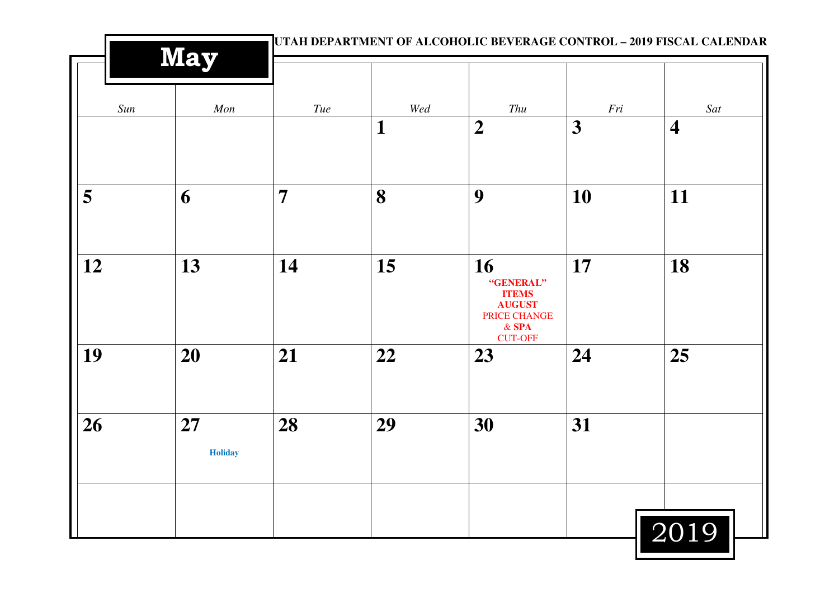|     | <b>May</b>           |                |              |                                                                             | UTAH DEPARTMENT OF ALCOHOLIC BEVERAGE CONTROL - 2019 FISCAL CALENDAR |                         |  |
|-----|----------------------|----------------|--------------|-----------------------------------------------------------------------------|----------------------------------------------------------------------|-------------------------|--|
| Sun | Mon                  | Tue            | Wed          | Thu                                                                         | $\mathit{Fri}$                                                       | Sat                     |  |
|     |                      |                | $\mathbf{1}$ | $\overline{2}$                                                              | 3                                                                    | $\overline{\mathbf{4}}$ |  |
| 5   | 6                    | $\overline{7}$ | 8            | 9                                                                           | 10                                                                   | 11                      |  |
| 12  | 13                   | 14             | 15           | 16<br>"GENERAL"<br><b>ITEMS</b><br><b>AUGUST</b><br>PRICE CHANGE<br>$&$ SPA | 17                                                                   | 18                      |  |
| 19  | 20                   | 21             | 22           | <b>CUT-OFF</b><br>23                                                        | 24                                                                   | 25                      |  |
| 26  | 27<br><b>Holiday</b> | 28             | 29           | 30                                                                          | 31                                                                   |                         |  |
|     |                      |                |              |                                                                             |                                                                      | 2019                    |  |